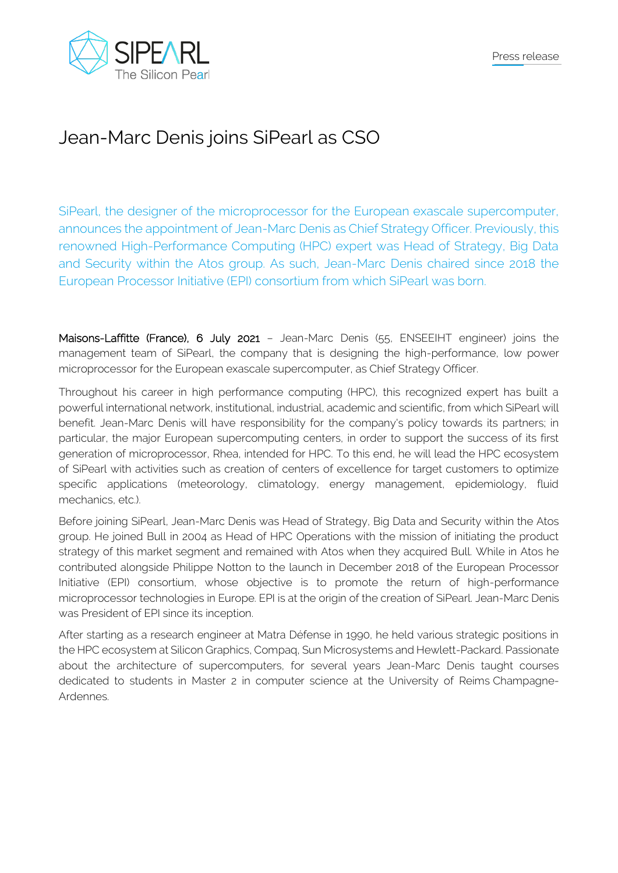

## Jean-Marc Denis joins SiPearl as CSO

SiPearl, the designer of the microprocessor for the European exascale supercomputer, announces the appointment of Jean-Marc Denis as Chief Strategy Officer. Previously, this renowned High-Performance Computing (HPC) expert was Head of Strategy, Big Data and Security within the Atos group. As such, Jean-Marc Denis chaired since 2018 the European Processor Initiative (EPI) consortium from which SiPearl was born.

Maisons-Laffitte (France), 6 July 2021 – Jean-Marc Denis (55, ENSEEIHT engineer) joins the management team of SiPearl, the company that is designing the high-performance, low power microprocessor for the European exascale supercomputer, as Chief Strategy Officer.

Throughout his career in high performance computing (HPC), this recognized expert has built a powerful international network, institutional, industrial, academic and scientific, from which SiPearl will benefit. Jean-Marc Denis will have responsibility for the company's policy towards its partners; in particular, the major European supercomputing centers, in order to support the success of its first generation of microprocessor, Rhea, intended for HPC. To this end, he will lead the HPC ecosystem of SiPearl with activities such as creation of centers of excellence for target customers to optimize specific applications (meteorology, climatology, energy management, epidemiology, fluid mechanics, etc.).

Before joining SiPearl, Jean-Marc Denis was Head of Strategy, Big Data and Security within the Atos group. He joined Bull in 2004 as Head of HPC Operations with the mission of initiating the product strategy of this market segment and remained with Atos when they acquired Bull. While in Atos he contributed alongside Philippe Notton to the launch in December 2018 of the European Processor Initiative (EPI) consortium, whose objective is to promote the return of high-performance microprocessor technologies in Europe. EPI is at the origin of the creation of SiPearl. Jean-Marc Denis was President of EPI since its inception.

After starting as a research engineer at Matra Défense in 1990, he held various strategic positions in the HPC ecosystem at Silicon Graphics, Compaq, Sun Microsystems and Hewlett-Packard. Passionate about the architecture of supercomputers, for several years Jean-Marc Denis taught courses dedicated to students in Master 2 in computer science at the University of Reims Champagne-Ardennes.